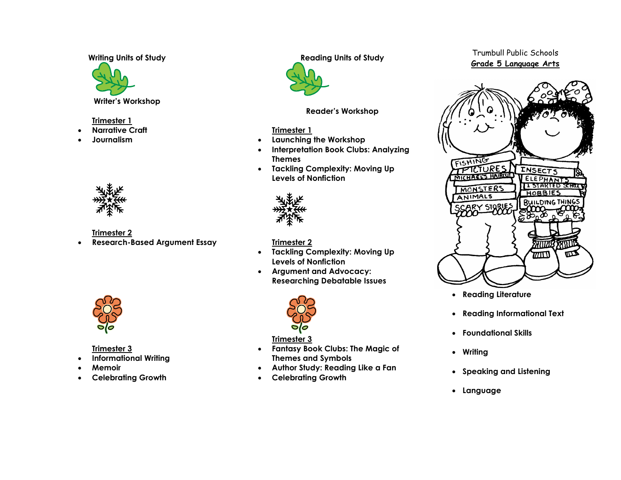**Writing Units of Study**



**Writer's Workshop**

## **Trimester 1**

- **Narrative Craft**
- **Journalism**



**Trimester 2**

**Research-Based Argument Essay**



**Trimester 3**

- **Informational Writing**
- **Memoir**
- **Celebrating Growth**

**Reading Units of Study**



**Reader's Workshop**

# **Trimester 1**

- **Launching the Workshop**
- **Interpretation Book Clubs: Analyzing Themes**
- **Tackling Complexity: Moving Up Levels of Nonfiction**



# **Trimester 2**

- **Tackling Complexity: Moving Up Levels of Nonfiction**
- **Argument and Advocacy: Researching Debatable Issues**



# **Trimester 3**

- **Fantasy Book Clubs: The Magic of Themes and Symbols**
- **Author Study: Reading Like a Fan**
- **Celebrating Growth**

# Trumbull Public Schools **Grade 5 Language Arts**



- **Reading Literature**
- **Reading Informational Text**
- **Foundational Skills**
- **Writing**
- **Speaking and Listening**
- **Language**